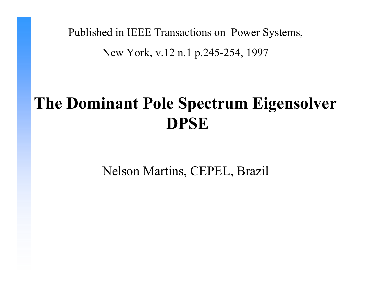Published in IEEE Transactions on Power Systems,

New York, v.12 n.1 p.245-254, 1997

# **The Dominant Pole Spectrum Eigensolver DPSE**

Nelson Martins, CEPEL, Brazil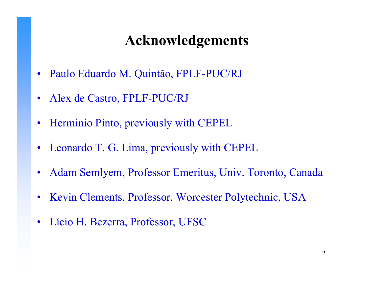## **Acknowledgements**

- •Paulo Eduardo M. Quintão, FPLF-PUC/RJ
- $\bullet$ Alex de Castro, FPLF-PUC/RJ
- •Herm inio Pinto, previously with CEPEL
- $\bullet$ Leonardo T. G. Lima, previously with CEPEL
- $\bullet$ Adam Semlyem, Professor Emeritus, Univ. Toronto, Canada
- •Kevin Clements, Professor, Worcester Polytechnic, USA
- $\bullet$ Lício H. Bezerra, Professor, UFSC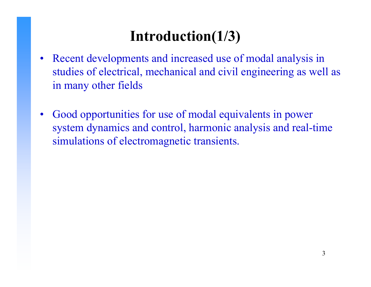## **Introduction(1/3)**

- $\bullet$  Recent developments and increased use of modal analysis in studies of electrical, mechanical and civil engineering as well as in many other fields
- • Good opportunities for use of modal equivalents in power system dynamics and control, harmonic analysis and real-time simulations of electromagnetic transients.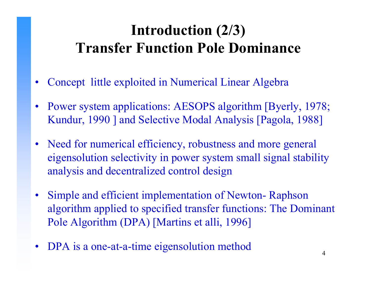## **Introduction (2/3) Transfer Function Pole Dominance**

- •Concept little exploited in Numerical Linear Algebra
- •Power system applications: AESOPS algorithm [Byerly, 1978; Kundur, 1990 ] and Selective Modal Analysis [Pagola, 1988]
- Need for numerical efficiency, robustness and more general eigensolution selectivity in power system small signal stability analysis and decentralized control design
- Simple and efficient implementation of Newton- Raphson algorithm applied to specified transfer functions: The Dominant Pole Algorithm (DPA) [Martins et alli, 1996]
- •DPA is a one-at-a-time eigensolution method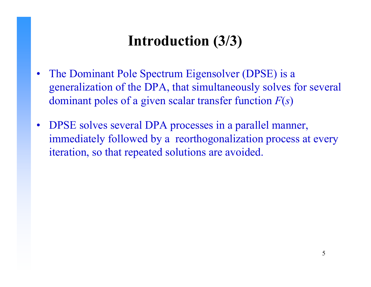# **Introduction (3/3)**

- The Dominant Pole Spectrum Eigensolver (DPSE) is a generalization of the DPA, that simultaneously solves for several dominant poles of a given scalar transfer function *F*( *s* )
- DPSE solves several DPA processes in a parallel manner, immediately followed by a reorthogonalization process at every iteration, so that repeated solutions are avoided.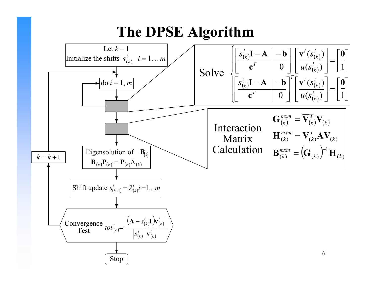#### **The DPSE Algorithm**

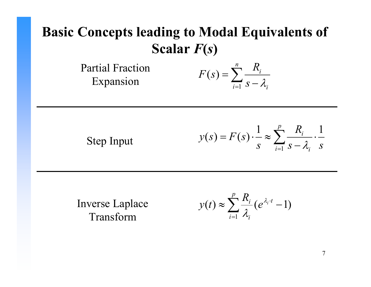#### **Basic Concepts leading to Modal Equivalents of Scalar**  *F***(** *s* **)**

Partial Fraction Expansion

$$
F(s) = \sum_{i=1}^{n} \frac{R_i}{s - \lambda_i}
$$

Step Input

$$
y(s) = F(s) \cdot \frac{1}{s} \approx \sum_{i=1}^{p} \frac{R_i}{s - \lambda_i} \cdot \frac{1}{s}
$$

Inverse Laplace Transform

$$
y(t) \approx \sum_{i=1}^{p} \frac{R_i}{\lambda_i} (e^{\lambda_i \cdot t} - 1)
$$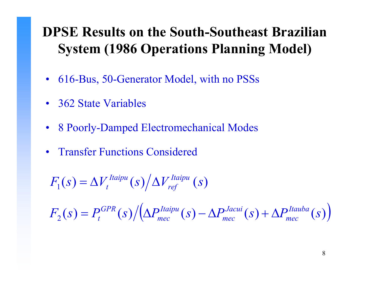#### **DPSE Results on the South-Southeast Brazilian System (1986 Operations Planning Model)**

- 616-Bus, 50-Generator Model, with no PSSs
- 362 State Variables
- 8 Poorly-Damped Electromechanical Modes
- $\bullet$ Transfer Functions Considered

 $F_1(s) = \Delta V_t^{uapu}(s)/\Delta V_{ref}^{uapu}(s)$  $\frac{I}{}$ *Itaipu*  $\left( S \right) / \Delta V_{ref}^{Itaipu}$  (  $=\Delta V_t^{\;taipu}(s)/\Delta$ 

 $F_2(s) = P_t^{GPR}(s) / (\Delta P_{mec}^{Itaipu}(s) - \Delta P_{mec}^{Jacui}(s) + \Delta P_{mec}^{Itauba}(s))$ ) = $=p_t^{\text{GPR}}(s)/|\Delta$  $-\Delta P_{\text{meas}}^{\text{Jacun}}(s) + \Delta$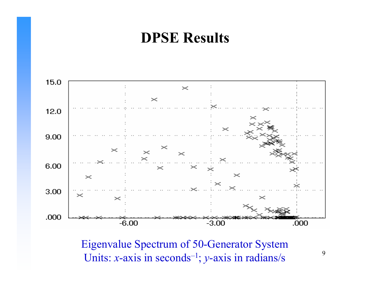#### **DPSE Results**



Eigenvalue Spectrum of 50-G enerator Sys tem Units: *<sup>x</sup>*-axis in seconds–1; *y*-axis in radians/s

9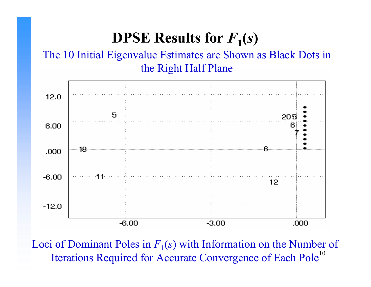## **DPSE Results for**  $F_1(s)$

#### The 10 Initial Eigenvalue Estimates are Shown as Black Dots in the Right Half Plane



Iterations Required for Accurate Convergence of Each Pole<sup>10</sup> Loci of Dominant Poles in  $F_1(s)$  with Information on the Number of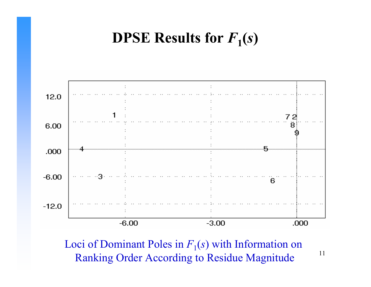## **DPSE Results for**  $F_1(s)$



Loci of Dominant Poles in  $F_1(s)$  with Information on Ranking Order According to Residue Magnitude

11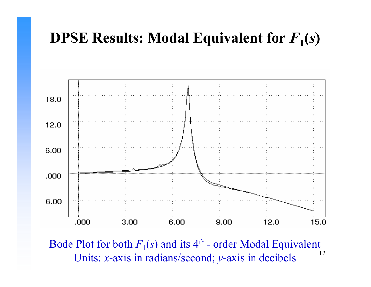

12Bode Plot for both  $F_1(s)$  and its 4<sup>th</sup> - order Modal Equivalent Units: *<sup>x</sup>*-axis in radians/second; *y*-axis in decibels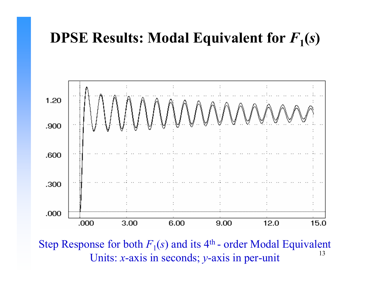

13Step Response for both  $F_1(s)$  and its 4<sup>th</sup> - order Modal Equivalent Units: *<sup>x</sup>*-axis in seconds; *y*-axis in per-unit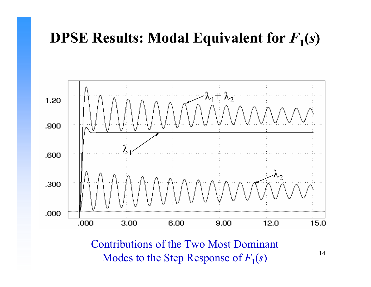

Contributions of the Two Most Dominant Modes to the Step Response of  $F_1(s)$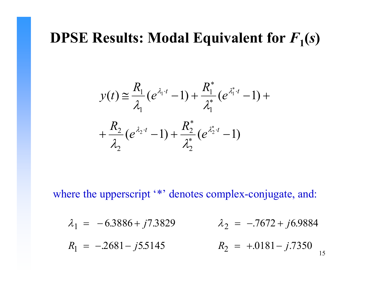$$
y(t) \approx \frac{R_1}{\lambda_1} (e^{\lambda_1 \cdot t} - 1) + \frac{R_1^*}{\lambda_1^*} (e^{\lambda_1^* \cdot t} - 1) + \frac{R_2}{\lambda_2} (e^{\lambda_2 \cdot t} - 1) + \frac{R_2^*}{\lambda_2^*} (e^{\lambda_2^* \cdot t} - 1)
$$

where the upperscript '\*' denotes complex-conjugate, and:

$$
\lambda_1 = -6.3886 + j7.3829 \qquad \lambda_2 = -7672 + j6.9884
$$

15 $R_1 = -2681 - j5.$ − 5 51455  $R_2 = +.0181 - j.7350$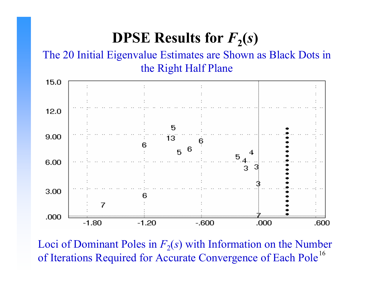## **DPSE Results for**  $F_2(s)$

#### The 20 Initial Eigenvalue Estimates are Shown as Black Dots in the Right Half Plane



16 Loci of Dominant Poles in  $F_2(s)$  with Information on the Number of Iterations Required for Accurate Convergence of Each Pole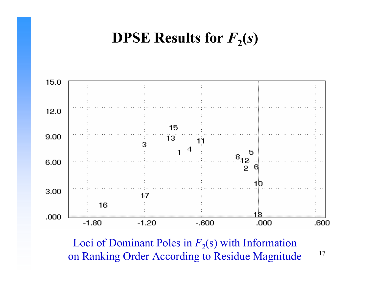## **DPSE Results for**  $F_2(s)$



17Loci of Dominant Poles in  $F_2(s)$  with Information on Ranking Order According to Residue Magnitude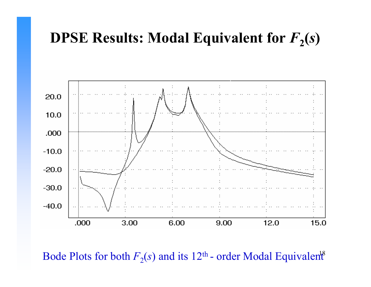

Bode Plots for both  $F_2(s)$  and its 12<sup>th</sup> - order Modal Equivalent<sup>8</sup> - order Modal Equivalent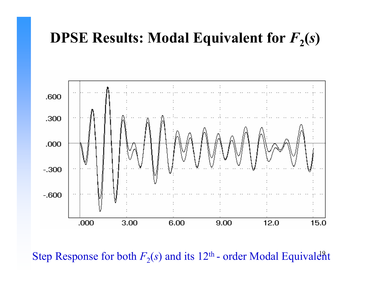

Step Response for both  $F_2(s)$  and its 12<sup>th</sup> - order Modal Equivaler - order Modal Equivalent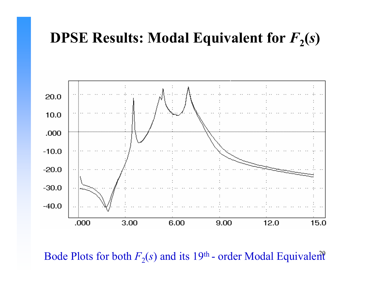

Bode Plots for both  $F_2(s)$  and its 19<sup>th</sup> - order Modal Equivalent - order Modal Equivalent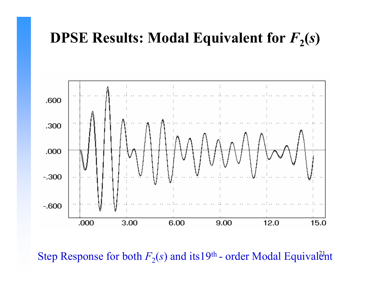

Step Response for both  $F_2(s)$  and its19<sup>th</sup> - order Modal Equival<del>è</del> - order Modal Equivalent